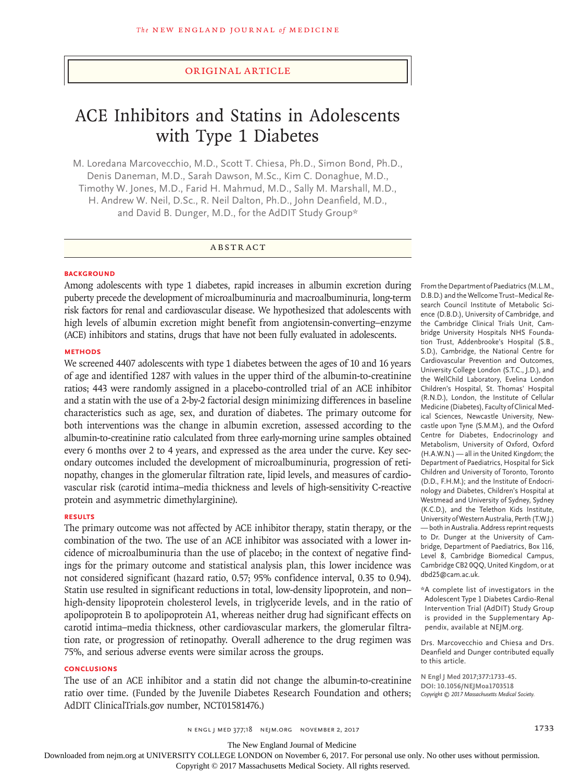## Original Article

# ACE Inhibitors and Statins in Adolescents with Type 1 Diabetes

M. Loredana Marcovecchio, M.D., Scott T. Chiesa, Ph.D., Simon Bond, Ph.D., Denis Daneman, M.D., Sarah Dawson, M.Sc., Kim C. Donaghue, M.D., Timothy W. Jones, M.D., Farid H. Mahmud, M.D., Sally M. Marshall, M.D., H. Andrew W. Neil, D.Sc., R. Neil Dalton, Ph.D., John Deanfield, M.D., and David B. Dunger, M.D., for the AdDIT Study Group\*

## ABSTRACT

#### **BACKGROUND**

Among adolescents with type 1 diabetes, rapid increases in albumin excretion during puberty precede the development of microalbuminuria and macroalbuminuria, long-term risk factors for renal and cardiovascular disease. We hypothesized that adolescents with high levels of albumin excretion might benefit from angiotensin-converting–enzyme (ACE) inhibitors and statins, drugs that have not been fully evaluated in adolescents.

## **METHODS**

We screened 4407 adolescents with type 1 diabetes between the ages of 10 and 16 years of age and identified 1287 with values in the upper third of the albumin-to-creatinine ratios; 443 were randomly assigned in a placebo-controlled trial of an ACE inhibitor and a statin with the use of a 2-by-2 factorial design minimizing differences in baseline characteristics such as age, sex, and duration of diabetes. The primary outcome for both interventions was the change in albumin excretion, assessed according to the albumin-to-creatinine ratio calculated from three early-morning urine samples obtained every 6 months over 2 to 4 years, and expressed as the area under the curve. Key secondary outcomes included the development of microalbuminuria, progression of retinopathy, changes in the glomerular filtration rate, lipid levels, and measures of cardiovascular risk (carotid intima–media thickness and levels of high-sensitivity C-reactive protein and asymmetric dimethylarginine).

## **RESULTS**

The primary outcome was not affected by ACE inhibitor therapy, statin therapy, or the combination of the two. The use of an ACE inhibitor was associated with a lower incidence of microalbuminuria than the use of placebo; in the context of negative findings for the primary outcome and statistical analysis plan, this lower incidence was not considered significant (hazard ratio, 0.57; 95% confidence interval, 0.35 to 0.94). Statin use resulted in significant reductions in total, low-density lipoprotein, and non– high-density lipoprotein cholesterol levels, in triglyceride levels, and in the ratio of apolipoprotein B to apolipoprotein A1, whereas neither drug had significant effects on carotid intima–media thickness, other cardiovascular markers, the glomerular filtration rate, or progression of retinopathy. Overall adherence to the drug regimen was 75%, and serious adverse events were similar across the groups.

## **CONCLUSIONS**

The use of an ACE inhibitor and a statin did not change the albumin-to-creatinine ratio over time. (Funded by the Juvenile Diabetes Research Foundation and others; AdDIT ClinicalTrials.gov number, NCT01581476.)

From the Department of Paediatrics (M.L.M., D.B.D.) and the Wellcome Trust–Medical Research Council Institute of Metabolic Science (D.B.D.), University of Cambridge, and the Cambridge Clinical Trials Unit, Cambridge University Hospitals NHS Foundation Trust, Addenbrooke's Hospital (S.B., S.D.), Cambridge, the National Centre for Cardiovascular Prevention and Outcomes, University College London (S.T.C., J.D.), and the WellChild Laboratory, Evelina London Children's Hospital, St. Thomas' Hospital (R.N.D.), London, the Institute of Cellular Medicine (Diabetes), Faculty of Clinical Medical Sciences, Newcastle University, Newcastle upon Tyne (S.M.M.), and the Oxford Centre for Diabetes, Endocrinology and Metabolism, University of Oxford, Oxford (H.A.W.N.) — all in the United Kingdom; the Department of Paediatrics, Hospital for Sick Children and University of Toronto, Toronto (D.D., F.H.M.); and the Institute of Endocrinology and Diabetes, Children's Hospital at Westmead and University of Sydney, Sydney (K.C.D.), and the Telethon Kids Institute, University of Western Australia, Perth (T.W.J.) — both in Australia. Address reprint requests to Dr. Dunger at the University of Cambridge, Department of Paediatrics, Box 116, Level 8, Cambridge Biomedical Campus, Cambridge CB2 0QQ, United Kingdom, or at dbd25@cam.ac.uk.

\*A complete list of investigators in the Adolescent Type 1 Diabetes Cardio-Renal Intervention Trial (AdDIT) Study Group is provided in the Supplementary Appendix, available at NEJM.org.

Drs. Marcovecchio and Chiesa and Drs. Deanfield and Dunger contributed equally to this article.

**N Engl J Med 2017;377:1733-45. DOI: 10.1056/NEJMoa1703518** *Copyright © 2017 Massachusetts Medical Society.*

The New England Journal of Medicine

Downloaded from nejm.org at UNIVERSITY COLLEGE LONDON on November 6, 2017. For personal use only. No other uses without permission.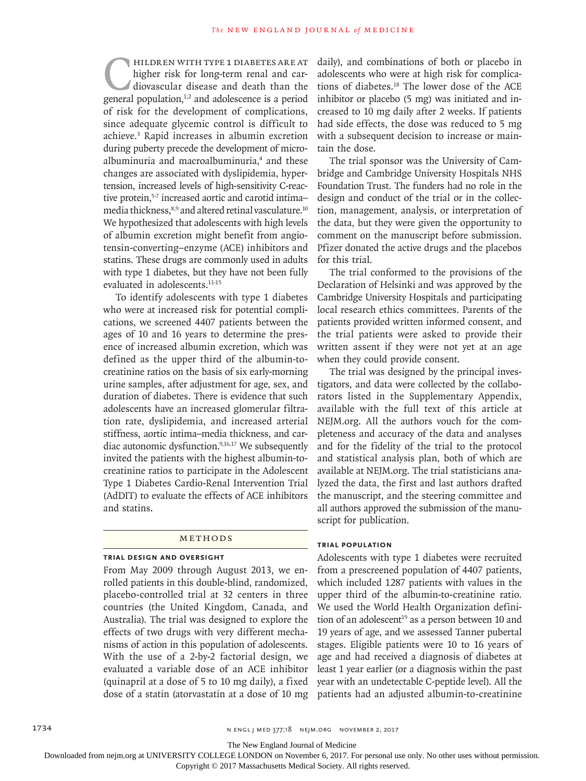FILDREN WITH TYPE 1 DIABETES ARE AT<br>higher risk for long-term renal and car-<br>diovascular disease and death than the<br>general population.<sup>1,2</sup> and adolescence is a period higher risk for long-term renal and cardiovascular disease and death than the general population, $1,2$  and adolescence is a period of risk for the development of complications, since adequate glycemic control is difficult to achieve.3 Rapid increases in albumin excretion during puberty precede the development of microalbuminuria and macroalbuminuria,<sup>4</sup> and these changes are associated with dyslipidemia, hypertension, increased levels of high-sensitivity C-reactive protein,<sup>5-7</sup> increased aortic and carotid intimamedia thickness, 8,9 and altered retinal vasculature.<sup>10</sup> We hypothesized that adolescents with high levels of albumin excretion might benefit from angiotensin-converting–enzyme (ACE) inhibitors and statins. These drugs are commonly used in adults with type 1 diabetes, but they have not been fully evaluated in adolescents.11-15

To identify adolescents with type 1 diabetes who were at increased risk for potential complications, we screened 4407 patients between the ages of 10 and 16 years to determine the presence of increased albumin excretion, which was defined as the upper third of the albumin-tocreatinine ratios on the basis of six early-morning urine samples, after adjustment for age, sex, and duration of diabetes. There is evidence that such adolescents have an increased glomerular filtration rate, dyslipidemia, and increased arterial stiffness, aortic intima–media thickness, and cardiac autonomic dysfunction.<sup>9,16,17</sup> We subsequently invited the patients with the highest albumin-tocreatinine ratios to participate in the Adolescent Type 1 Diabetes Cardio-Renal Intervention Trial (AdDIT) to evaluate the effects of ACE inhibitors and statins.

# Methods

## **Trial Design and Oversight**

From May 2009 through August 2013, we enrolled patients in this double-blind, randomized, placebo-controlled trial at 32 centers in three countries (the United Kingdom, Canada, and Australia). The trial was designed to explore the effects of two drugs with very different mechanisms of action in this population of adolescents. With the use of a 2-by-2 factorial design, we evaluated a variable dose of an ACE inhibitor (quinapril at a dose of 5 to 10 mg daily), a fixed dose of a statin (atorvastatin at a dose of 10 mg daily), and combinations of both or placebo in adolescents who were at high risk for complications of diabetes.18 The lower dose of the ACE inhibitor or placebo (5 mg) was initiated and increased to 10 mg daily after 2 weeks. If patients had side effects, the dose was reduced to 5 mg with a subsequent decision to increase or maintain the dose.

The trial sponsor was the University of Cambridge and Cambridge University Hospitals NHS Foundation Trust. The funders had no role in the design and conduct of the trial or in the collection, management, analysis, or interpretation of the data, but they were given the opportunity to comment on the manuscript before submission. Pfizer donated the active drugs and the placebos for this trial.

The trial conformed to the provisions of the Declaration of Helsinki and was approved by the Cambridge University Hospitals and participating local research ethics committees. Parents of the patients provided written informed consent, and the trial patients were asked to provide their written assent if they were not yet at an age when they could provide consent.

The trial was designed by the principal investigators, and data were collected by the collaborators listed in the Supplementary Appendix, available with the full text of this article at NEJM.org. All the authors vouch for the completeness and accuracy of the data and analyses and for the fidelity of the trial to the protocol and statistical analysis plan, both of which are available at NEJM.org. The trial statisticians analyzed the data, the first and last authors drafted the manuscript, and the steering committee and all authors approved the submission of the manuscript for publication.

# **Trial Population**

Adolescents with type 1 diabetes were recruited from a prescreened population of 4407 patients, which included 1287 patients with values in the upper third of the albumin-to-creatinine ratio. We used the World Health Organization definition of an adolescent<sup>19</sup> as a person between 10 and 19 years of age, and we assessed Tanner pubertal stages. Eligible patients were 10 to 16 years of age and had received a diagnosis of diabetes at least 1 year earlier (or a diagnosis within the past year with an undetectable C-peptide level). All the patients had an adjusted albumin-to-creatinine

The New England Journal of Medicine

Downloaded from nejm.org at UNIVERSITY COLLEGE LONDON on November 6, 2017. For personal use only. No other uses without permission.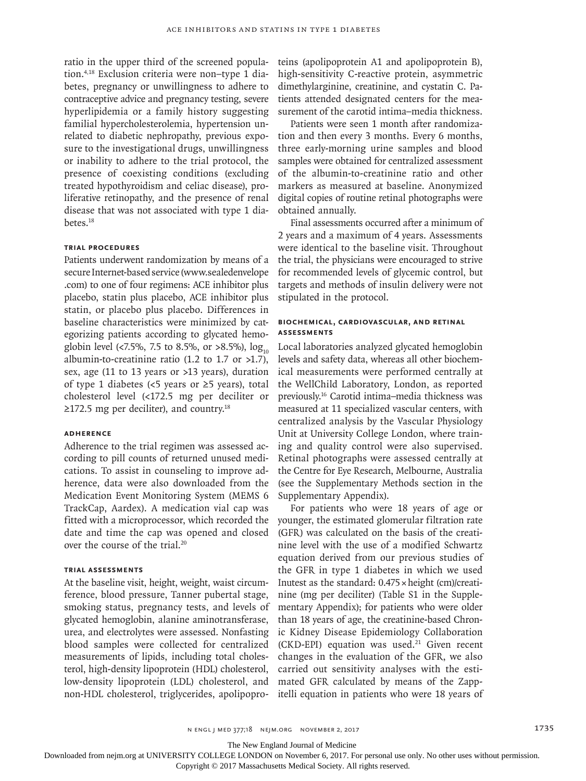ratio in the upper third of the screened population.4,18 Exclusion criteria were non–type 1 diabetes, pregnancy or unwillingness to adhere to contraceptive advice and pregnancy testing, severe hyperlipidemia or a family history suggesting familial hypercholesterolemia, hypertension unrelated to diabetic nephropathy, previous exposure to the investigational drugs, unwillingness or inability to adhere to the trial protocol, the presence of coexisting conditions (excluding treated hypothyroidism and celiac disease), proliferative retinopathy, and the presence of renal disease that was not associated with type 1 diabetes.18

## **Trial Procedures**

Patients underwent randomization by means of a secure Internet-based service (www.sealedenvelope .com) to one of four regimens: ACE inhibitor plus placebo, statin plus placebo, ACE inhibitor plus statin, or placebo plus placebo. Differences in baseline characteristics were minimized by categorizing patients according to glycated hemoglobin level (<7.5%, 7.5 to 8.5%, or >8.5%),  $\log_{10}$ albumin-to-creatinine ratio (1.2 to 1.7 or  $>1.7$ ), sex, age (11 to 13 years or >13 years), duration of type 1 diabetes (<5 years or ≥5 years), total cholesterol level (<172.5 mg per deciliter or  $\geq$ 172.5 mg per deciliter), and country.<sup>18</sup>

## **Adherence**

Adherence to the trial regimen was assessed according to pill counts of returned unused medications. To assist in counseling to improve adherence, data were also downloaded from the Medication Event Monitoring System (MEMS 6 TrackCap, Aardex). A medication vial cap was fitted with a microprocessor, which recorded the date and time the cap was opened and closed over the course of the trial.<sup>20</sup>

## **Trial Assessments**

At the baseline visit, height, weight, waist circumference, blood pressure, Tanner pubertal stage, smoking status, pregnancy tests, and levels of glycated hemoglobin, alanine aminotransferase, urea, and electrolytes were assessed. Nonfasting blood samples were collected for centralized measurements of lipids, including total cholesterol, high-density lipoprotein (HDL) cholesterol, low-density lipoprotein (LDL) cholesterol, and non-HDL cholesterol, triglycerides, apolipoproteins (apolipoprotein A1 and apolipoprotein B), high-sensitivity C-reactive protein, asymmetric dimethylarginine, creatinine, and cystatin C. Patients attended designated centers for the measurement of the carotid intima–media thickness.

Patients were seen 1 month after randomization and then every 3 months. Every 6 months, three early-morning urine samples and blood samples were obtained for centralized assessment of the albumin-to-creatinine ratio and other markers as measured at baseline. Anonymized digital copies of routine retinal photographs were obtained annually.

Final assessments occurred after a minimum of 2 years and a maximum of 4 years. Assessments were identical to the baseline visit. Throughout the trial, the physicians were encouraged to strive for recommended levels of glycemic control, but targets and methods of insulin delivery were not stipulated in the protocol.

## **Biochemical, Cardiovascular, and Retinal Assessments**

Local laboratories analyzed glycated hemoglobin levels and safety data, whereas all other biochemical measurements were performed centrally at the WellChild Laboratory, London, as reported previously.16 Carotid intima–media thickness was measured at 11 specialized vascular centers, with centralized analysis by the Vascular Physiology Unit at University College London, where training and quality control were also supervised. Retinal photographs were assessed centrally at the Centre for Eye Research, Melbourne, Australia (see the Supplementary Methods section in the Supplementary Appendix).

For patients who were 18 years of age or younger, the estimated glomerular filtration rate (GFR) was calculated on the basis of the creatinine level with the use of a modified Schwartz equation derived from our previous studies of the GFR in type 1 diabetes in which we used Inutest as the standard:  $0.475 \times$  height (cm)/creatinine (mg per deciliter) (Table S1 in the Supplementary Appendix); for patients who were older than 18 years of age, the creatinine-based Chronic Kidney Disease Epidemiology Collaboration (CKD-EPI) equation was used.<sup>21</sup> Given recent changes in the evaluation of the GFR, we also carried out sensitivity analyses with the estimated GFR calculated by means of the Zappitelli equation in patients who were 18 years of

The New England Journal of Medicine

Downloaded from nejm.org at UNIVERSITY COLLEGE LONDON on November 6, 2017. For personal use only. No other uses without permission.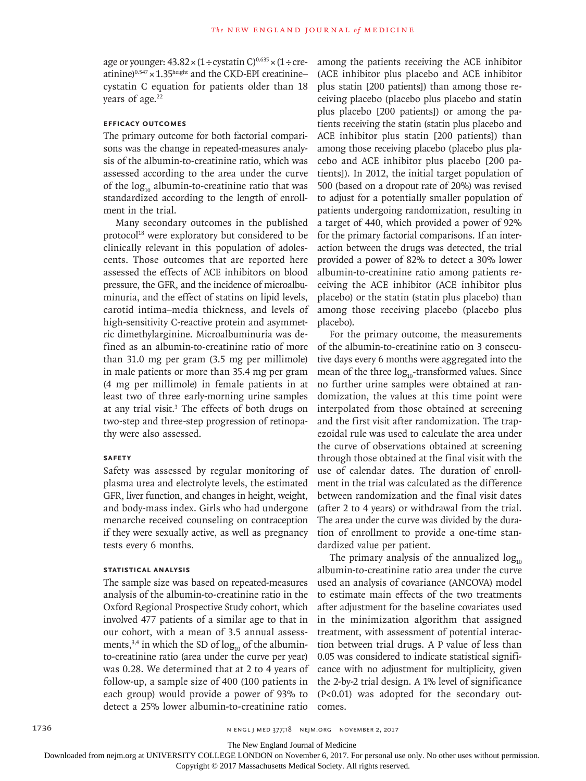age or younger:  $43.82 \times (1 \div \text{cyst} \cdot \text{c})^{0.635} \times (1 \div \text{cre} \cdot \text{c}$ atinine) $0.547 \times 1.35$ height and the CKD-EPI creatininecystatin C equation for patients older than 18 years of age.<sup>22</sup>

# **Efficacy Outcomes**

The primary outcome for both factorial comparisons was the change in repeated-measures analysis of the albumin-to-creatinine ratio, which was assessed according to the area under the curve of the  $log_{10}$  albumin-to-creatinine ratio that was standardized according to the length of enrollment in the trial.

Many secondary outcomes in the published protocol<sup>18</sup> were exploratory but considered to be clinically relevant in this population of adolescents. Those outcomes that are reported here assessed the effects of ACE inhibitors on blood pressure, the GFR, and the incidence of microalbuminuria, and the effect of statins on lipid levels, carotid intima–media thickness, and levels of high-sensitivity C-reactive protein and asymmetric dimethylarginine. Microalbuminuria was defined as an albumin-to-creatinine ratio of more than 31.0 mg per gram (3.5 mg per millimole) in male patients or more than 35.4 mg per gram (4 mg per millimole) in female patients in at least two of three early-morning urine samples at any trial visit.<sup>3</sup> The effects of both drugs on two-step and three-step progression of retinopathy were also assessed.

#### **Safety**

Safety was assessed by regular monitoring of plasma urea and electrolyte levels, the estimated GFR, liver function, and changes in height, weight, and body-mass index. Girls who had undergone menarche received counseling on contraception if they were sexually active, as well as pregnancy tests every 6 months.

## **Statistical Analysis**

The sample size was based on repeated-measures analysis of the albumin-to-creatinine ratio in the Oxford Regional Prospective Study cohort, which involved 477 patients of a similar age to that in our cohort, with a mean of 3.5 annual assessments,<sup>3,4</sup> in which the SD of  $log_{10}$  of the albuminto-creatinine ratio (area under the curve per year) was 0.28. We determined that at 2 to 4 years of follow-up, a sample size of 400 (100 patients in each group) would provide a power of 93% to detect a 25% lower albumin-to-creatinine ratio

among the patients receiving the ACE inhibitor (ACE inhibitor plus placebo and ACE inhibitor plus statin [200 patients]) than among those receiving placebo (placebo plus placebo and statin plus placebo [200 patients]) or among the patients receiving the statin (statin plus placebo and ACE inhibitor plus statin [200 patients]) than among those receiving placebo (placebo plus placebo and ACE inhibitor plus placebo [200 patients]). In 2012, the initial target population of 500 (based on a dropout rate of 20%) was revised to adjust for a potentially smaller population of patients undergoing randomization, resulting in a target of 440, which provided a power of 92% for the primary factorial comparisons. If an interaction between the drugs was detected, the trial provided a power of 82% to detect a 30% lower albumin-to-creatinine ratio among patients receiving the ACE inhibitor (ACE inhibitor plus placebo) or the statin (statin plus placebo) than among those receiving placebo (placebo plus placebo).

For the primary outcome, the measurements of the albumin-to-creatinine ratio on 3 consecutive days every 6 months were aggregated into the mean of the three  $log_{10}$ -transformed values. Since no further urine samples were obtained at randomization, the values at this time point were interpolated from those obtained at screening and the first visit after randomization. The trapezoidal rule was used to calculate the area under the curve of observations obtained at screening through those obtained at the final visit with the use of calendar dates. The duration of enrollment in the trial was calculated as the difference between randomization and the final visit dates (after 2 to 4 years) or withdrawal from the trial. The area under the curve was divided by the duration of enrollment to provide a one-time standardized value per patient.

The primary analysis of the annualized  $log_{10}$ albumin-to-creatinine ratio area under the curve used an analysis of covariance (ANCOVA) model to estimate main effects of the two treatments after adjustment for the baseline covariates used in the minimization algorithm that assigned treatment, with assessment of potential interaction between trial drugs. A P value of less than 0.05 was considered to indicate statistical significance with no adjustment for multiplicity, given the 2-by-2 trial design. A 1% level of significance (P<0.01) was adopted for the secondary outcomes.

The New England Journal of Medicine

Downloaded from nejm.org at UNIVERSITY COLLEGE LONDON on November 6, 2017. For personal use only. No other uses without permission.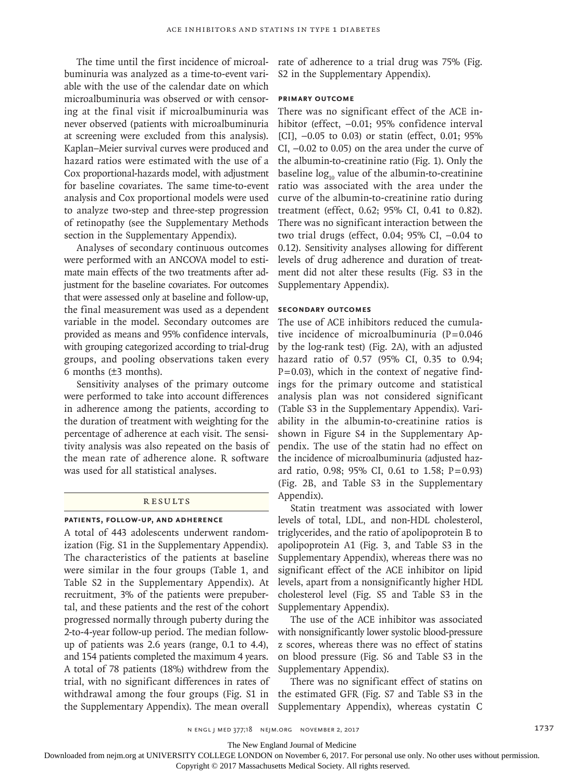The time until the first incidence of microalbuminuria was analyzed as a time-to-event variable with the use of the calendar date on which microalbuminuria was observed or with censoring at the final visit if microalbuminuria was never observed (patients with microalbuminuria at screening were excluded from this analysis). Kaplan–Meier survival curves were produced and hazard ratios were estimated with the use of a Cox proportional-hazards model, with adjustment for baseline covariates. The same time-to-event analysis and Cox proportional models were used to analyze two-step and three-step progression of retinopathy (see the Supplementary Methods section in the Supplementary Appendix).

Analyses of secondary continuous outcomes were performed with an ANCOVA model to estimate main effects of the two treatments after adjustment for the baseline covariates. For outcomes that were assessed only at baseline and follow-up, the final measurement was used as a dependent variable in the model. Secondary outcomes are provided as means and 95% confidence intervals, with grouping categorized according to trial-drug groups, and pooling observations taken every 6 months (±3 months).

Sensitivity analyses of the primary outcome were performed to take into account differences in adherence among the patients, according to the duration of treatment with weighting for the percentage of adherence at each visit. The sensitivity analysis was also repeated on the basis of the mean rate of adherence alone. R software was used for all statistical analyses.

## **RESULTS**

# **Patients, Follow-up, and Adherence**

A total of 443 adolescents underwent randomization (Fig. S1 in the Supplementary Appendix). The characteristics of the patients at baseline were similar in the four groups (Table 1, and Table S2 in the Supplementary Appendix). At recruitment, 3% of the patients were prepubertal, and these patients and the rest of the cohort progressed normally through puberty during the 2-to-4-year follow-up period. The median followup of patients was 2.6 years (range, 0.1 to 4.4), and 154 patients completed the maximum 4 years. A total of 78 patients (18%) withdrew from the trial, with no significant differences in rates of withdrawal among the four groups (Fig. S1 in the Supplementary Appendix). The mean overall rate of adherence to a trial drug was 75% (Fig. S2 in the Supplementary Appendix).

## **Primary Outcome**

There was no significant effect of the ACE inhibitor (effect, −0.01; 95% confidence interval [CI], −0.05 to 0.03) or statin (effect, 0.01; 95% CI, −0.02 to 0.05) on the area under the curve of the albumin-to-creatinine ratio (Fig. 1). Only the baseline  $log_{10}$  value of the albumin-to-creatinine ratio was associated with the area under the curve of the albumin-to-creatinine ratio during treatment (effect, 0.62; 95% CI, 0.41 to 0.82). There was no significant interaction between the two trial drugs (effect, 0.04; 95% CI, −0.04 to 0.12). Sensitivity analyses allowing for different levels of drug adherence and duration of treatment did not alter these results (Fig. S3 in the Supplementary Appendix).

# **Secondary Outcomes**

The use of ACE inhibitors reduced the cumulative incidence of microalbuminuria (P=0.046 by the log-rank test) (Fig. 2A), with an adjusted hazard ratio of 0.57 (95% CI, 0.35 to 0.94;  $P=0.03$ ), which in the context of negative findings for the primary outcome and statistical analysis plan was not considered significant (Table S3 in the Supplementary Appendix). Variability in the albumin-to-creatinine ratios is shown in Figure S4 in the Supplementary Appendix. The use of the statin had no effect on the incidence of microalbuminuria (adjusted hazard ratio, 0.98; 95% CI, 0.61 to 1.58; P=0.93) (Fig. 2B, and Table S3 in the Supplementary Appendix).

Statin treatment was associated with lower levels of total, LDL, and non-HDL cholesterol, triglycerides, and the ratio of apolipoprotein B to apolipoprotein A1 (Fig. 3, and Table S3 in the Supplementary Appendix), whereas there was no significant effect of the ACE inhibitor on lipid levels, apart from a nonsignificantly higher HDL cholesterol level (Fig. S5 and Table S3 in the Supplementary Appendix).

The use of the ACE inhibitor was associated with nonsignificantly lower systolic blood-pressure z scores, whereas there was no effect of statins on blood pressure (Fig. S6 and Table S3 in the Supplementary Appendix).

There was no significant effect of statins on the estimated GFR (Fig. S7 and Table S3 in the Supplementary Appendix), whereas cystatin C

The New England Journal of Medicine

Downloaded from nejm.org at UNIVERSITY COLLEGE LONDON on November 6, 2017. For personal use only. No other uses without permission.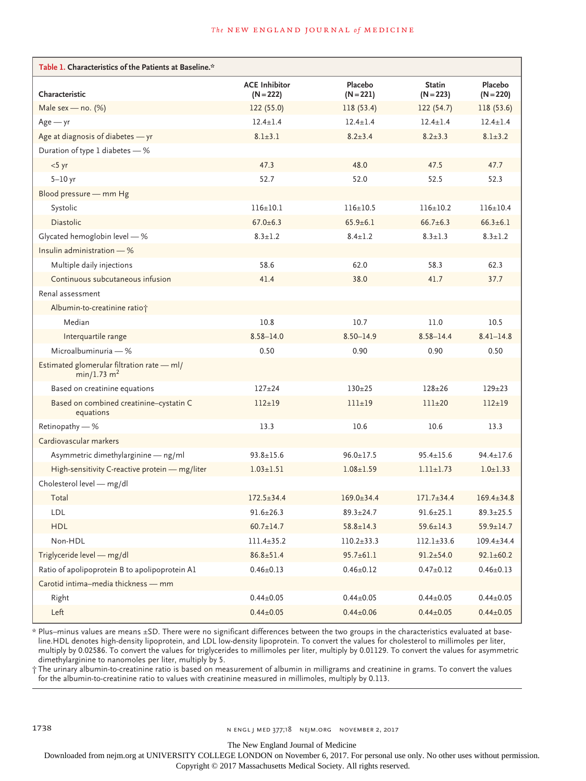#### **The NEW ENGLAND JOURNAL of MEDICINE**

| Table 1. Characteristics of the Patients at Baseline.*                  |                                     |                        |                              |                        |  |  |
|-------------------------------------------------------------------------|-------------------------------------|------------------------|------------------------------|------------------------|--|--|
| Characteristic                                                          | <b>ACE Inhibitor</b><br>$(N = 222)$ | Placebo<br>$(N = 221)$ | <b>Statin</b><br>$(N = 223)$ | Placebo<br>$(N = 220)$ |  |  |
| Male sex - no. $(%)$                                                    | 122 (55.0)                          | 118 (53.4)             | 122 (54.7)                   | 118 (53.6)             |  |  |
| $Age - yr$                                                              | $12.4 + 1.4$                        | $12.4 + 1.4$           | $12.4 + 1.4$                 | $12.4 \pm 1.4$         |  |  |
| Age at diagnosis of diabetes - yr                                       | $8.1 \pm 3.1$                       | $8.2 \pm 3.4$          | $8.2 \pm 3.3$                | $8.1 \pm 3.2$          |  |  |
| Duration of type 1 diabetes - %                                         |                                     |                        |                              |                        |  |  |
| $< 5$ yr                                                                | 47.3                                | 48.0                   | 47.5                         | 47.7                   |  |  |
| $5-10$ yr                                                               | 52.7                                | 52.0                   | 52.5                         | 52.3                   |  |  |
| Blood pressure - mm Hg                                                  |                                     |                        |                              |                        |  |  |
| Systolic                                                                | $116 \pm 10.1$                      | $116 \pm 10.5$         | $116 \pm 10.2$               | $116 \pm 10.4$         |  |  |
| <b>Diastolic</b>                                                        | $67.0 \pm 6.3$                      | $65.9 \pm 6.1$         | $66.7 \pm 6.3$               | $66.3 \pm 6.1$         |  |  |
| Glycated hemoglobin level - %                                           | $8.3 + 1.2$                         | $8.4 + 1.2$            | $8.3 + 1.3$                  | $8.3 + 1.2$            |  |  |
| Insulin administration - %                                              |                                     |                        |                              |                        |  |  |
| Multiple daily injections                                               | 58.6                                | 62.0                   | 58.3                         | 62.3                   |  |  |
| Continuous subcutaneous infusion                                        | 41.4                                | 38.0                   | 41.7                         | 37.7                   |  |  |
| Renal assessment                                                        |                                     |                        |                              |                        |  |  |
| Albumin-to-creatinine ratio <sub>1</sub>                                |                                     |                        |                              |                        |  |  |
| Median                                                                  | 10.8                                | 10.7                   | 11.0                         | 10.5                   |  |  |
| Interquartile range                                                     | $8.58 - 14.0$                       | $8.50 - 14.9$          | $8.58 - 14.4$                | $8.41 - 14.8$          |  |  |
| Microalbuminuria - %                                                    | 0.50                                | 0.90                   | 0.90                         | 0.50                   |  |  |
| Estimated glomerular filtration rate - ml/<br>$min/1.73$ m <sup>2</sup> |                                     |                        |                              |                        |  |  |
| Based on creatinine equations                                           | $127 + 24$                          | $130 + 25$             | $128 + 26$                   | $129 + 23$             |  |  |
| Based on combined creatinine-cystatin C<br>equations                    | $112 + 19$                          | $111 \pm 19$           | $111 \pm 20$                 | $112 + 19$             |  |  |
| Retinopathy - %                                                         | 13.3                                | 10.6                   | 10.6                         | 13.3                   |  |  |
| Cardiovascular markers                                                  |                                     |                        |                              |                        |  |  |
| Asymmetric dimethylarginine - ng/ml                                     | $93.8 \pm 15.6$                     | $96.0 \pm 17.5$        | $95.4 \pm 15.6$              | $94.4 \pm 17.6$        |  |  |
| High-sensitivity C-reactive protein - mg/liter                          | $1.03 \pm 1.51$                     | $1.08 \pm 1.59$        | $1.11 \pm 1.73$              | $1.0 \pm 1.33$         |  |  |
| Cholesterol level - mg/dl                                               |                                     |                        |                              |                        |  |  |
| Total                                                                   | $172.5 \pm 34.4$                    | $169.0 \pm 34.4$       | $171.7 \pm 34.4$             | $169.4 \pm 34.8$       |  |  |
| <b>LDL</b>                                                              | $91.6 \pm 26.3$                     | $89.3 \pm 24.7$        | $91.6 \pm 25.1$              | $89.3 + 25.5$          |  |  |
| <b>HDL</b>                                                              | $60.7 \pm 14.7$                     | $58.8 \pm 14.3$        | $59.6 \pm 14.3$              | $59.9 \pm 14.7$        |  |  |
| Non-HDL                                                                 | $111.4 \pm 35.2$                    | $110.2 \pm 33.3$       | $112.1 \pm 33.6$             | $109.4 \pm 34.4$       |  |  |
| Triglyceride level - mg/dl                                              | $86.8 \pm 51.4$                     | $95.7 \pm 61.1$        | $91.2 \pm 54.0$              | $92.1 \pm 60.2$        |  |  |
| Ratio of apolipoprotein B to apolipoprotein A1                          | $0.46 \pm 0.13$                     | $0.46 \pm 0.12$        | $0.47 \pm 0.12$              | $0.46 \pm 0.13$        |  |  |
| Carotid intima-media thickness - mm                                     |                                     |                        |                              |                        |  |  |
| Right                                                                   | $0.44 \pm 0.05$                     | $0.44 \pm 0.05$        | $0.44 \pm 0.05$              | $0.44 \pm 0.05$        |  |  |
| Left                                                                    | $0.44 \pm 0.05$                     | $0.44 \pm 0.06$        | $0.44 \pm 0.05$              | $0.44 \pm 0.05$        |  |  |

\* Plus–minus values are means ±SD. There were no significant differences between the two groups in the characteristics evaluated at baseline.HDL denotes high-density lipoprotein, and LDL low-density lipoprotein. To convert the values for cholesterol to millimoles per liter, multiply by 0.02586. To convert the values for triglycerides to millimoles per liter, multiply by 0.01129. To convert the values for asymmetric dimethylarginine to nanomoles per liter, multiply by 5.

† The urinary albumin-to-creatinine ratio is based on measurement of albumin in milligrams and creatinine in grams. To convert the values for the albumin-to-creatinine ratio to values with creatinine measured in millimoles, multiply by 0.113.

The New England Journal of Medicine

Downloaded from nejm.org at UNIVERSITY COLLEGE LONDON on November 6, 2017. For personal use only. No other uses without permission.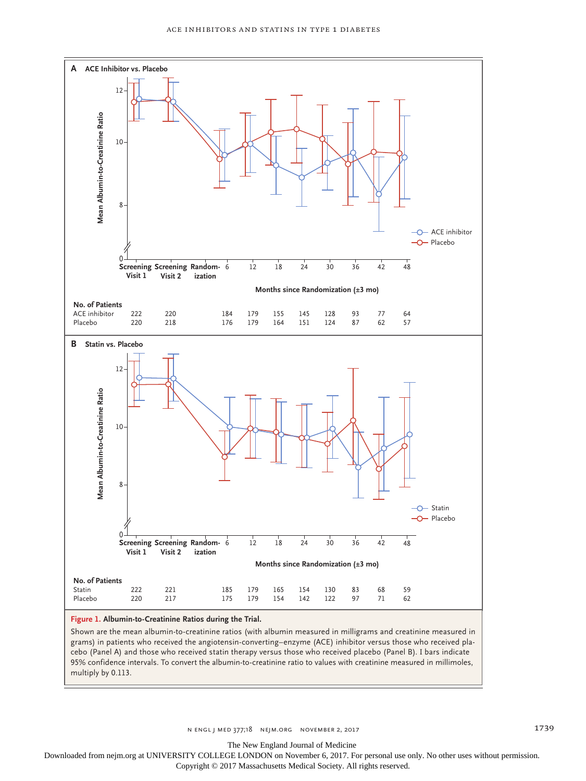

The New England Journal of Medicine

Downloaded from nejm.org at UNIVERSITY COLLEGE LONDON on November 6, 2017. For personal use only. No other uses without permission.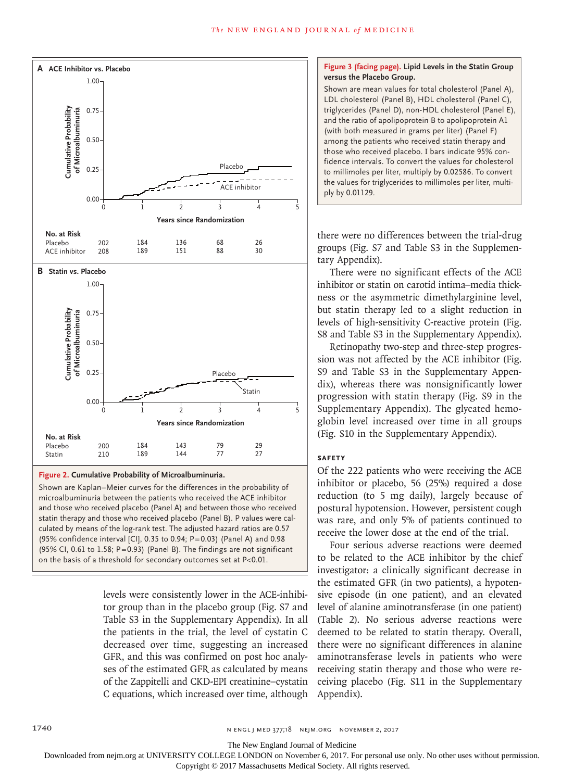

**Figure 2. Cumulative Probability of Microalbuminuria.**

Shown are Kaplan–Meier curves for the differences in the probability of microalbuminuria between the patients who received the ACE inhibitor and those who received placebo (Panel A) and between those who received statin therapy and those who received placebo (Panel B). P values were calculated by means of the log-rank test. The adjusted hazard ratios are 0.57 (95% confidence interval [CI], 0.35 to 0.94; P=0.03) (Panel A) and 0.98 (95% CI, 0.61 to 1.58; P=0.93) (Panel B). The findings are not significant on the basis of a threshold for secondary outcomes set at P<0.01.

> levels were consistently lower in the ACE-inhibitor group than in the placebo group (Fig. S7 and Table S3 in the Supplementary Appendix). In all the patients in the trial, the level of cystatin C decreased over time, suggesting an increased GFR, and this was confirmed on post hoc analyses of the estimated GFR as calculated by means of the Zappitelli and CKD-EPI creatinine–cystatin C equations, which increased over time, although

## **Figure 3 (facing page). Lipid Levels in the Statin Group versus the Placebo Group.**

Shown are mean values for total cholesterol (Panel A), LDL cholesterol (Panel B), HDL cholesterol (Panel C), triglycerides (Panel D), non-HDL cholesterol (Panel E), and the ratio of apolipoprotein B to apolipoprotein A1 (with both measured in grams per liter) (Panel F) among the patients who received statin therapy and those who received placebo. I bars indicate 95% confidence intervals. To convert the values for cholesterol to millimoles per liter, multiply by 0.02586. To convert the values for triglycerides to millimoles per liter, multiply by 0.01129.

there were no differences between the trial-drug groups (Fig. S7 and Table S3 in the Supplementary Appendix).

There were no significant effects of the ACE inhibitor or statin on carotid intima–media thickness or the asymmetric dimethylarginine level, but statin therapy led to a slight reduction in levels of high-sensitivity C-reactive protein (Fig. S8 and Table S3 in the Supplementary Appendix).

Retinopathy two-step and three-step progression was not affected by the ACE inhibitor (Fig. S9 and Table S3 in the Supplementary Appendix), whereas there was nonsignificantly lower progression with statin therapy (Fig. S9 in the Supplementary Appendix). The glycated hemoglobin level increased over time in all groups (Fig. S10 in the Supplementary Appendix).

## **Safety**

Of the 222 patients who were receiving the ACE inhibitor or placebo, 56 (25%) required a dose reduction (to 5 mg daily), largely because of postural hypotension. However, persistent cough was rare, and only 5% of patients continued to receive the lower dose at the end of the trial.

Four serious adverse reactions were deemed to be related to the ACE inhibitor by the chief investigator: a clinically significant decrease in the estimated GFR (in two patients), a hypotensive episode (in one patient), and an elevated level of alanine aminotransferase (in one patient) (Table 2). No serious adverse reactions were deemed to be related to statin therapy. Overall, there were no significant differences in alanine aminotransferase levels in patients who were receiving statin therapy and those who were receiving placebo (Fig. S11 in the Supplementary Appendix).

1740 **n engl j med 377;18 nejm.org November 2, 2017** 

The New England Journal of Medicine

Downloaded from nejm.org at UNIVERSITY COLLEGE LONDON on November 6, 2017. For personal use only. No other uses without permission.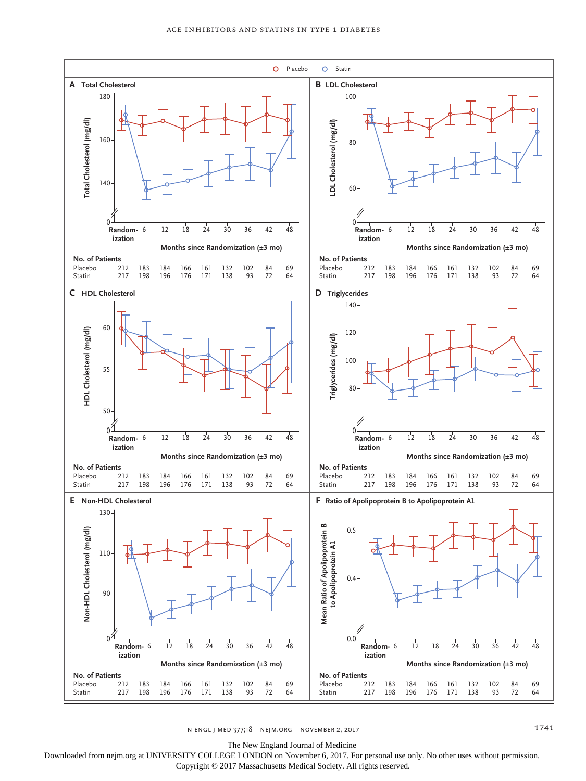

n engl j med 377;18 nejm.org November 2, 2017 1741 1741

The New England Journal of Medicine

Downloaded from nejm.org at UNIVERSITY COLLEGE LONDON on November 6, 2017. For personal use only. No other uses without permission.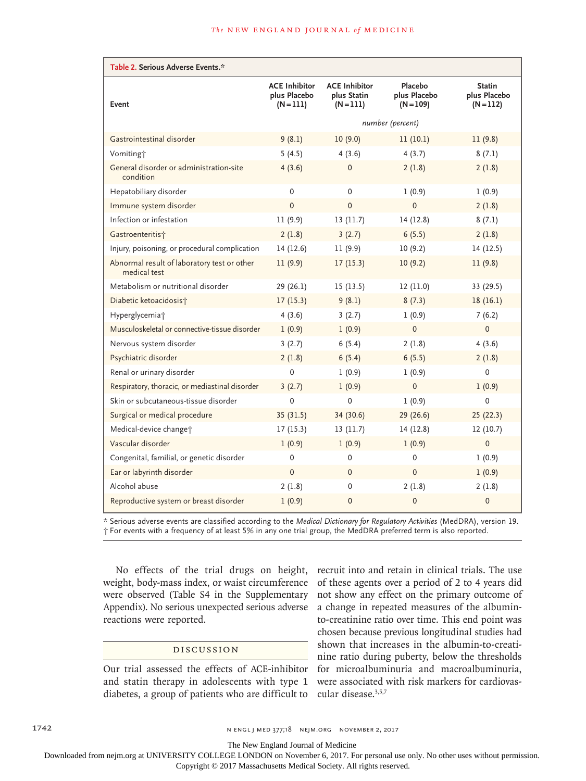| Table 2. Serious Adverse Events.*                           |                                                   |                                                    |                                        |                                            |  |  |
|-------------------------------------------------------------|---------------------------------------------------|----------------------------------------------------|----------------------------------------|--------------------------------------------|--|--|
| Event                                                       | <b>ACE Inhibitor</b><br>plus Placebo<br>$(N=111)$ | <b>ACE Inhibitor</b><br>plus Statin<br>$(N = 111)$ | Placebo<br>plus Placebo<br>$(N = 109)$ | <b>Statin</b><br>plus Placebo<br>$(N=112)$ |  |  |
|                                                             |                                                   | number (percent)                                   |                                        |                                            |  |  |
| Gastrointestinal disorder                                   | 9(8.1)                                            | 10(9.0)                                            | 11(10.1)                               | 11(9.8)                                    |  |  |
| Vomiting <sup>+</sup>                                       | 5(4.5)                                            | 4(3.6)                                             | 4(3.7)                                 | 8(7.1)                                     |  |  |
| General disorder or administration-site<br>condition        | 4(3.6)                                            | 0                                                  | 2(1.8)                                 | 2(1.8)                                     |  |  |
| Hepatobiliary disorder                                      | 0                                                 | $\mathbf 0$                                        | 1(0.9)                                 | 1(0.9)                                     |  |  |
| Immune system disorder                                      | $\mathbf{0}$                                      | $\Omega$                                           | $\Omega$                               | 2(1.8)                                     |  |  |
| Infection or infestation                                    | 11(9.9)                                           | 13(11.7)                                           | 14(12.8)                               | 8(7.1)                                     |  |  |
| Gastroenteritis <sup>+</sup>                                | 2(1.8)                                            | 3(2.7)                                             | 6(5.5)                                 | 2(1.8)                                     |  |  |
| Injury, poisoning, or procedural complication               | 14(12.6)                                          | 11(9.9)                                            | 10(9.2)                                | 14(12.5)                                   |  |  |
| Abnormal result of laboratory test or other<br>medical test | 11(9.9)                                           | 17(15.3)                                           | 10(9.2)                                | 11(9.8)                                    |  |  |
| Metabolism or nutritional disorder                          | 29 (26.1)                                         | 15(13.5)                                           | 12 (11.0)                              | 33 (29.5)                                  |  |  |
| Diabetic ketoacidosis†                                      | 17(15.3)                                          | 9(8.1)                                             | 8(7.3)                                 | 18(16.1)                                   |  |  |
| Hyperglycemia <sup>+</sup>                                  | 4(3.6)                                            | 3(2.7)                                             | 1(0.9)                                 | 7(6.2)                                     |  |  |
| Musculoskeletal or connective-tissue disorder               | 1(0.9)                                            | 1(0.9)                                             | $\mathbf{0}$                           | $\mathbf 0$                                |  |  |
| Nervous system disorder                                     | 3(2.7)                                            | 6(5.4)                                             | 2(1.8)                                 | 4(3.6)                                     |  |  |
| Psychiatric disorder                                        | 2(1.8)                                            | 6(5.4)                                             | 6(5.5)                                 | 2(1.8)                                     |  |  |
| Renal or urinary disorder                                   | 0                                                 | 1(0.9)                                             | 1(0.9)                                 | 0                                          |  |  |
| Respiratory, thoracic, or mediastinal disorder              | 3(2.7)                                            | 1(0.9)                                             | $\mathbf{0}$                           | 1(0.9)                                     |  |  |
| Skin or subcutaneous-tissue disorder                        | $\mathbf 0$                                       | 0                                                  | 1(0.9)                                 | $\mathbf 0$                                |  |  |
| Surgical or medical procedure                               | 35(31.5)                                          | 34 (30.6)                                          | 29(26.6)                               | 25(22.3)                                   |  |  |
| Medical-device change;                                      | 17(15.3)                                          | 13(11.7)                                           | 14 (12.8)                              | 12(10.7)                                   |  |  |
| Vascular disorder                                           | 1(0.9)                                            | 1(0.9)                                             | 1(0.9)                                 | $\Omega$                                   |  |  |
| Congenital, familial, or genetic disorder                   | 0                                                 | 0                                                  | 0                                      | 1(0.9)                                     |  |  |
| Ear or labyrinth disorder                                   | $\mathbf{0}$                                      | $\mathbf{0}$                                       | $\mathbf{0}$                           | 1(0.9)                                     |  |  |
| Alcohol abuse                                               | 2(1.8)                                            | 0                                                  | 2(1.8)                                 | 2(1.8)                                     |  |  |
| Reproductive system or breast disorder                      | 1(0.9)                                            | $\Omega$                                           | $\mathbf{0}$                           | $\mathbf 0$                                |  |  |

\* Serious adverse events are classified according to the *Medical Dictionary for Regulatory Activities* (MedDRA), version 19. † For events with a frequency of at least 5% in any one trial group, the MedDRA preferred term is also reported.

No effects of the trial drugs on height, weight, body-mass index, or waist circumference were observed (Table S4 in the Supplementary Appendix). No serious unexpected serious adverse reactions were reported.

## Discussion

diabetes, a group of patients who are difficult to cular disease.<sup>3,5,7</sup>

Our trial assessed the effects of ACE-inhibitor for microalbuminuria and macroalbuminuria, and statin therapy in adolescents with type 1 were associated with risk markers for cardiovasrecruit into and retain in clinical trials. The use of these agents over a period of 2 to 4 years did not show any effect on the primary outcome of a change in repeated measures of the albuminto-creatinine ratio over time. This end point was chosen because previous longitudinal studies had shown that increases in the albumin-to-creatinine ratio during puberty, below the thresholds

1742 **n engl j med 377;18 NEIM.ORG NOVEMBER 2, 2017** 

The New England Journal of Medicine

Downloaded from nejm.org at UNIVERSITY COLLEGE LONDON on November 6, 2017. For personal use only. No other uses without permission.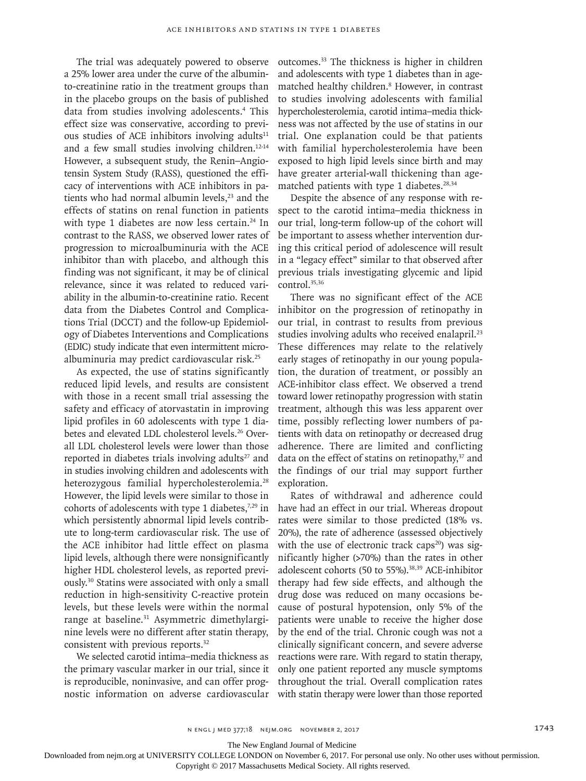The trial was adequately powered to observe a 25% lower area under the curve of the albuminto-creatinine ratio in the treatment groups than in the placebo groups on the basis of published data from studies involving adolescents.<sup>4</sup> This effect size was conservative, according to previous studies of ACE inhibitors involving adults $11$ and a few small studies involving children.12-14 However, a subsequent study, the Renin–Angiotensin System Study (RASS), questioned the efficacy of interventions with ACE inhibitors in patients who had normal albumin levels,<sup>23</sup> and the effects of statins on renal function in patients with type 1 diabetes are now less certain.<sup>24</sup> In contrast to the RASS, we observed lower rates of progression to microalbuminuria with the ACE inhibitor than with placebo, and although this finding was not significant, it may be of clinical relevance, since it was related to reduced variability in the albumin-to-creatinine ratio. Recent data from the Diabetes Control and Complications Trial (DCCT) and the follow-up Epidemiology of Diabetes Interventions and Complications (EDIC) study indicate that even intermittent microalbuminuria may predict cardiovascular risk.25

As expected, the use of statins significantly reduced lipid levels, and results are consistent with those in a recent small trial assessing the safety and efficacy of atorvastatin in improving lipid profiles in 60 adolescents with type 1 diabetes and elevated LDL cholesterol levels.<sup>26</sup> Overall LDL cholesterol levels were lower than those reported in diabetes trials involving adults<sup>27</sup> and in studies involving children and adolescents with heterozygous familial hypercholesterolemia.<sup>28</sup> However, the lipid levels were similar to those in cohorts of adolescents with type 1 diabetes, $7,29$  in which persistently abnormal lipid levels contribute to long-term cardiovascular risk. The use of the ACE inhibitor had little effect on plasma lipid levels, although there were nonsignificantly higher HDL cholesterol levels, as reported previously.30 Statins were associated with only a small reduction in high-sensitivity C-reactive protein levels, but these levels were within the normal range at baseline.<sup>31</sup> Asymmetric dimethylarginine levels were no different after statin therapy, consistent with previous reports.<sup>32</sup>

We selected carotid intima–media thickness as the primary vascular marker in our trial, since it is reproducible, noninvasive, and can offer prognostic information on adverse cardiovascular outcomes.33 The thickness is higher in children and adolescents with type 1 diabetes than in agematched healthy children.8 However, in contrast to studies involving adolescents with familial hypercholesterolemia, carotid intima–media thickness was not affected by the use of statins in our trial. One explanation could be that patients with familial hypercholesterolemia have been exposed to high lipid levels since birth and may have greater arterial-wall thickening than agematched patients with type 1 diabetes.<sup>28,34</sup>

Despite the absence of any response with respect to the carotid intima–media thickness in our trial, long-term follow-up of the cohort will be important to assess whether intervention during this critical period of adolescence will result in a "legacy effect" similar to that observed after previous trials investigating glycemic and lipid control.35,36

There was no significant effect of the ACE inhibitor on the progression of retinopathy in our trial, in contrast to results from previous studies involving adults who received enalapril.<sup>23</sup> These differences may relate to the relatively early stages of retinopathy in our young population, the duration of treatment, or possibly an ACE-inhibitor class effect. We observed a trend toward lower retinopathy progression with statin treatment, although this was less apparent over time, possibly reflecting lower numbers of patients with data on retinopathy or decreased drug adherence. There are limited and conflicting data on the effect of statins on retinopathy,<sup>37</sup> and the findings of our trial may support further exploration.

Rates of withdrawal and adherence could have had an effect in our trial. Whereas dropout rates were similar to those predicted (18% vs. 20%), the rate of adherence (assessed objectively with the use of electronic track caps<sup>20</sup>) was significantly higher (>70%) than the rates in other adolescent cohorts (50 to 55%).38,39 ACE-inhibitor therapy had few side effects, and although the drug dose was reduced on many occasions because of postural hypotension, only 5% of the patients were unable to receive the higher dose by the end of the trial. Chronic cough was not a clinically significant concern, and severe adverse reactions were rare. With regard to statin therapy, only one patient reported any muscle symptoms throughout the trial. Overall complication rates with statin therapy were lower than those reported

The New England Journal of Medicine

Downloaded from nejm.org at UNIVERSITY COLLEGE LONDON on November 6, 2017. For personal use only. No other uses without permission.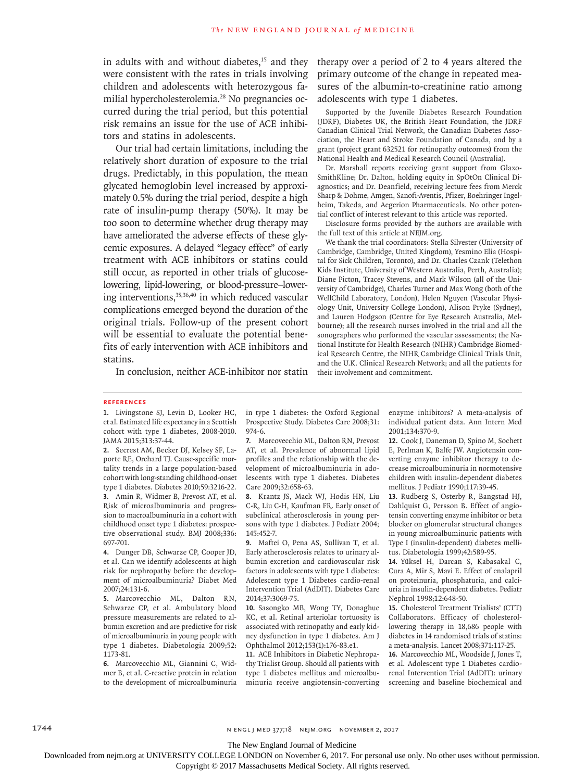in adults with and without diabetes,<sup>15</sup> and they were consistent with the rates in trials involving children and adolescents with heterozygous familial hypercholesterolemia.28 No pregnancies occurred during the trial period, but this potential risk remains an issue for the use of ACE inhibitors and statins in adolescents.

Our trial had certain limitations, including the relatively short duration of exposure to the trial drugs. Predictably, in this population, the mean glycated hemoglobin level increased by approximately 0.5% during the trial period, despite a high rate of insulin-pump therapy (50%). It may be too soon to determine whether drug therapy may have ameliorated the adverse effects of these glycemic exposures. A delayed "legacy effect" of early treatment with ACE inhibitors or statins could still occur, as reported in other trials of glucoselowering, lipid-lowering, or blood-pressure–lowering interventions,  $35,36,40$  in which reduced vascular complications emerged beyond the duration of the original trials. Follow-up of the present cohort will be essential to evaluate the potential benefits of early intervention with ACE inhibitors and statins.

In conclusion, neither ACE-inhibitor nor statin

therapy over a period of 2 to 4 years altered the primary outcome of the change in repeated measures of the albumin-to-creatinine ratio among adolescents with type 1 diabetes.

Supported by the Juvenile Diabetes Research Foundation (JDRF), Diabetes UK, the British Heart Foundation, the JDRF Canadian Clinical Trial Network, the Canadian Diabetes Association, the Heart and Stroke Foundation of Canada, and by a grant (project grant 632521 for retinopathy outcomes) from the National Health and Medical Research Council (Australia).

Dr. Marshall reports receiving grant support from Glaxo-SmithKline; Dr. Dalton, holding equity in SpOtOn Clinical Diagnostics; and Dr. Deanfield, receiving lecture fees from Merck Sharp & Dohme, Amgen, Sanofi-Aventis, Pfizer, Boehringer Ingelheim, Takeda, and Aegerion Pharmaceuticals. No other potential conflict of interest relevant to this article was reported.

Disclosure forms provided by the authors are available with the full text of this article at NEJM.org.

We thank the trial coordinators: Stella Silvester (University of Cambridge, Cambridge, United Kingdom), Yesmino Elia (Hospital for Sick Children, Toronto), and Dr. Charles Czank (Telethon Kids Institute, University of Western Australia, Perth, Australia); Diane Picton, Tracey Stevens, and Mark Wilson (all of the University of Cambridge), Charles Turner and Max Wong (both of the WellChild Laboratory, London), Helen Nguyen (Vascular Physiology Unit, University College London), Alison Pryke (Sydney), and Lauren Hodgson (Centre for Eye Research Australia, Melbourne); all the research nurses involved in the trial and all the sonographers who performed the vascular assessments; the National Institute for Health Research (NIHR) Cambridge Biomedical Research Centre, the NIHR Cambridge Clinical Trials Unit, and the U.K. Clinical Research Network; and all the patients for their involvement and commitment.

#### **References**

**1.** Livingstone SJ, Levin D, Looker HC, et al. Estimated life expectancy in a Scottish cohort with type 1 diabetes, 2008-2010. JAMA 2015;313:37-44.

**2.** Secrest AM, Becker DJ, Kelsey SF, Laporte RE, Orchard TJ. Cause-specific mortality trends in a large population-based cohort with long-standing childhood-onset type 1 diabetes. Diabetes 2010;59:3216-22. **3.** Amin R, Widmer B, Prevost AT, et al. Risk of microalbuminuria and progression to macroalbuminuria in a cohort with childhood onset type 1 diabetes: prospective observational study. BMJ 2008;336: 697-701.

**4.** Dunger DB, Schwarze CP, Cooper JD, et al. Can we identify adolescents at high risk for nephropathy before the development of microalbuminuria? Diabet Med 2007;24:131-6.

**5.** Marcovecchio ML, Dalton RN, Schwarze CP, et al. Ambulatory blood pressure measurements are related to albumin excretion and are predictive for risk of microalbuminuria in young people with type 1 diabetes. Diabetologia 2009;52: 1173-81.

**6.** Marcovecchio ML, Giannini C, Widmer B, et al. C-reactive protein in relation to the development of microalbuminuria

in type 1 diabetes: the Oxford Regional Prospective Study. Diabetes Care 2008;31: 974-6.

**7.** Marcovecchio ML, Dalton RN, Prevost AT, et al. Prevalence of abnormal lipid profiles and the relationship with the development of microalbuminuria in adolescents with type 1 diabetes. Diabetes Care 2009;32:658-63.

**8.** Krantz JS, Mack WJ, Hodis HN, Liu C-R, Liu C-H, Kaufman FR. Early onset of subclinical atherosclerosis in young persons with type 1 diabetes. J Pediatr 2004; 145:452-7.

**9.** Maftei O, Pena AS, Sullivan T, et al. Early atherosclerosis relates to urinary albumin excretion and cardiovascular risk factors in adolescents with type 1 diabetes: Adolescent type 1 Diabetes cardio-renal Intervention Trial (AdDIT). Diabetes Care 2014;37:3069-75.

**10.** Sasongko MB, Wong TY, Donaghue KC, et al. Retinal arteriolar tortuosity is associated with retinopathy and early kidney dysfunction in type 1 diabetes. Am J Ophthalmol 2012;153(1):176-83.e1.

**11.** ACE Inhibitors in Diabetic Nephropathy Trialist Group. Should all patients with type 1 diabetes mellitus and microalbuminuria receive angiotensin-converting enzyme inhibitors? A meta-analysis of individual patient data. Ann Intern Med 2001;134:370-9.

**12.** Cook J, Daneman D, Spino M, Sochett E, Perlman K, Balfe JW. Angiotensin converting enzyme inhibitor therapy to decrease microalbuminuria in normotensive children with insulin-dependent diabetes mellitus. J Pediatr 1990;117:39-45.

**13.** Rudberg S, Osterby R, Bangstad HJ, Dahlquist G, Persson B. Effect of angiotensin converting enzyme inhibitor or beta blocker on glomerular structural changes in young microalbuminuric patients with Type I (insulin-dependent) diabetes mellitus. Diabetologia 1999;42:589-95.

**14.** Yüksel H, Darcan S, Kabasakal C, Cura A, Mir S, Mavi E. Effect of enalapril on proteinuria, phosphaturia, and calciuria in insulin-dependent diabetes. Pediatr Nephrol 1998;12:648-50.

**15.** Cholesterol Treatment Trialists' (CTT) Collaborators. Efficacy of cholesterollowering therapy in 18,686 people with diabetes in 14 randomised trials of statins: a meta-analysis. Lancet 2008;371:117-25.

**16.** Marcovecchio ML, Woodside J, Jones T, et al. Adolescent type 1 Diabetes cardiorenal Intervention Trial (AdDIT): urinary screening and baseline biochemical and

1744 **1988** n engl j med 377;18 nejm.org November 2, 2017

The New England Journal of Medicine

Downloaded from nejm.org at UNIVERSITY COLLEGE LONDON on November 6, 2017. For personal use only. No other uses without permission.